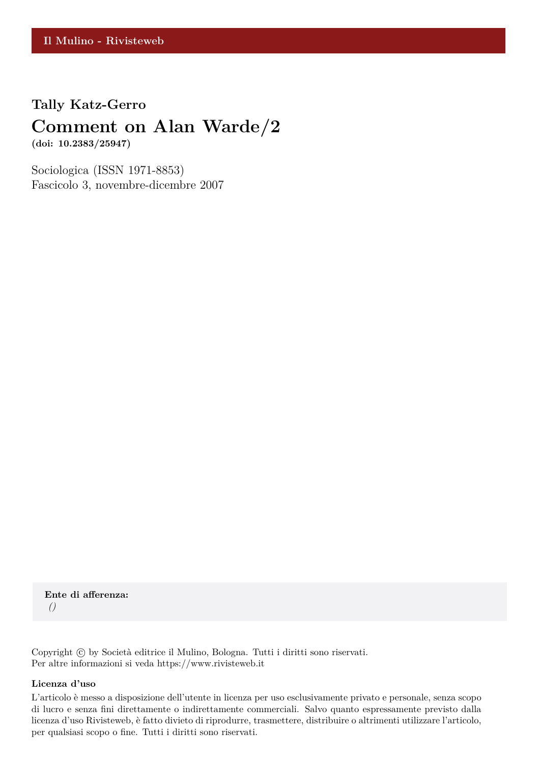## **Tally Katz-Gerro**

# **Comment on Alan Warde/2**

**(doi: 10.2383/25947)**

Sociologica (ISSN 1971-8853) Fascicolo 3, novembre-dicembre 2007

**Ente di afferenza:** *()*

Copyright © by Società editrice il Mulino, Bologna. Tutti i diritti sono riservati. Per altre informazioni si veda https://www.rivisteweb.it

#### **Licenza d'uso**

L'articolo è messo a disposizione dell'utente in licenza per uso esclusivamente privato e personale, senza scopo di lucro e senza fini direttamente o indirettamente commerciali. Salvo quanto espressamente previsto dalla licenza d'uso Rivisteweb, è fatto divieto di riprodurre, trasmettere, distribuire o altrimenti utilizzare l'articolo, per qualsiasi scopo o fine. Tutti i diritti sono riservati.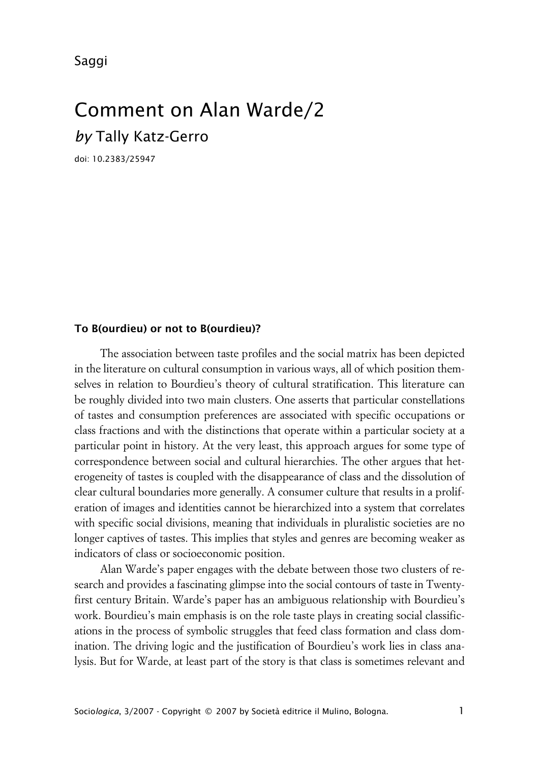Saggi

# Comment on Alan Warde/2 *by* Tally Katz-Gerro

doi: 10.2383/25947

#### **xTo B(ourdieu) or not to B(ourdieu)?**

The association between taste profiles and the social matrix has been depicted in the literature on cultural consumption in various ways, all of which position themselves in relation to Bourdieu's theory of cultural stratification. This literature can be roughly divided into two main clusters. One asserts that particular constellations of tastes and consumption preferences are associated with specific occupations or class fractions and with the distinctions that operate within a particular society at a particular point in history. At the very least, this approach argues for some type of correspondence between social and cultural hierarchies. The other argues that heterogeneity of tastes is coupled with the disappearance of class and the dissolution of clear cultural boundaries more generally. A consumer culture that results in a proliferation of images and identities cannot be hierarchized into a system that correlates with specific social divisions, meaning that individuals in pluralistic societies are no longer captives of tastes. This implies that styles and genres are becoming weaker as indicators of class or socioeconomic position.

Alan Warde's paper engages with the debate between those two clusters of research and provides a fascinating glimpse into the social contours of taste in Twentyfirst century Britain. Warde's paper has an ambiguous relationship with Bourdieu's work. Bourdieu's main emphasis is on the role taste plays in creating social classifications in the process of symbolic struggles that feed class formation and class domination. The driving logic and the justification of Bourdieu's work lies in class analysis. But for Warde, at least part of the story is that class is sometimes relevant and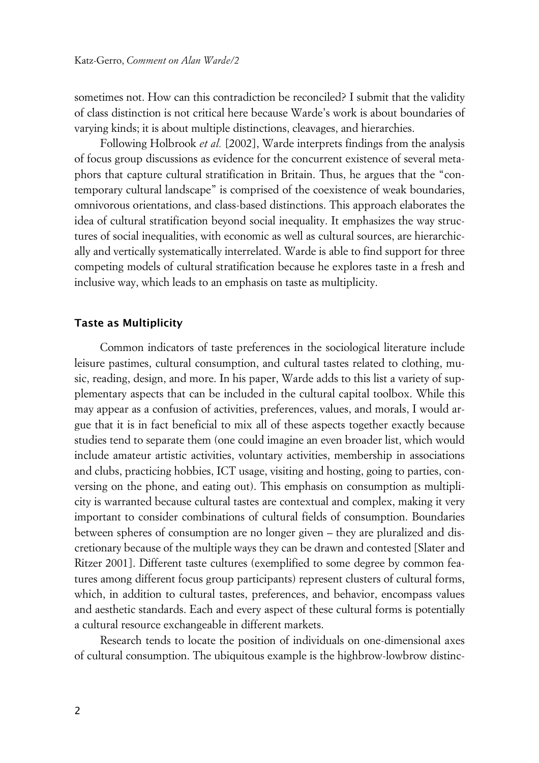sometimes not. How can this contradiction be reconciled? I submit that the validity of class distinction is not critical here because Warde's work is about boundaries of varying kinds; it is about multiple distinctions, cleavages, and hierarchies.

Following Holbrook *et al.* [2002], Warde interprets findings from the analysis of focus group discussions as evidence for the concurrent existence of several metaphors that capture cultural stratification in Britain. Thus, he argues that the "contemporary cultural landscape" is comprised of the coexistence of weak boundaries, omnivorous orientations, and class-based distinctions. This approach elaborates the idea of cultural stratification beyond social inequality. It emphasizes the way structures of social inequalities, with economic as well as cultural sources, are hierarchically and vertically systematically interrelated. Warde is able to find support for three competing models of cultural stratification because he explores taste in a fresh and inclusive way, which leads to an emphasis on taste as multiplicity.

#### **xTaste as Multiplicity**

Common indicators of taste preferences in the sociological literature include leisure pastimes, cultural consumption, and cultural tastes related to clothing, music, reading, design, and more. In his paper, Warde adds to this list a variety of supplementary aspects that can be included in the cultural capital toolbox. While this may appear as a confusion of activities, preferences, values, and morals, I would argue that it is in fact beneficial to mix all of these aspects together exactly because studies tend to separate them (one could imagine an even broader list, which would include amateur artistic activities, voluntary activities, membership in associations and clubs, practicing hobbies, ICT usage, visiting and hosting, going to parties, conversing on the phone, and eating out). This emphasis on consumption as multiplicity is warranted because cultural tastes are contextual and complex, making it very important to consider combinations of cultural fields of consumption. Boundaries between spheres of consumption are no longer given – they are pluralized and discretionary because of the multiple ways they can be drawn and contested [Slater and Ritzer 2001]. Different taste cultures (exemplified to some degree by common features among different focus group participants) represent clusters of cultural forms, which, in addition to cultural tastes, preferences, and behavior, encompass values and aesthetic standards. Each and every aspect of these cultural forms is potentially a cultural resource exchangeable in different markets.

Research tends to locate the position of individuals on one-dimensional axes of cultural consumption. The ubiquitous example is the highbrow-lowbrow distinc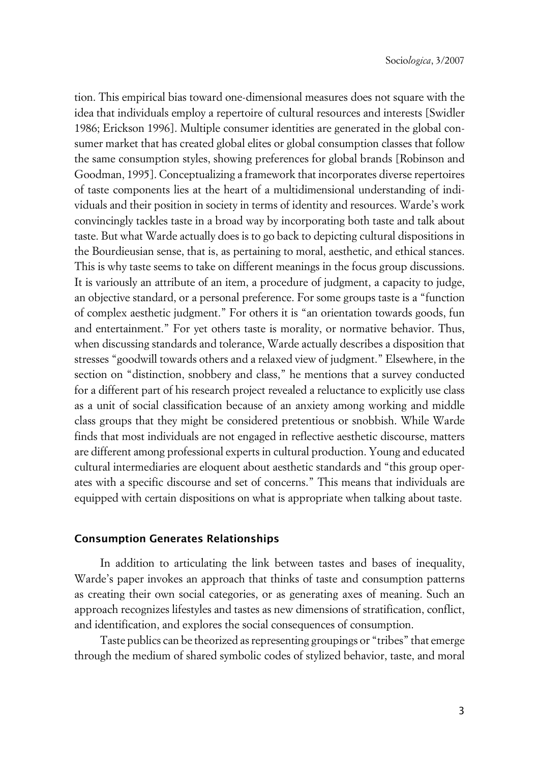tion. This empirical bias toward one-dimensional measures does not square with the idea that individuals employ a repertoire of cultural resources and interests [Swidler 1986; Erickson 1996]. Multiple consumer identities are generated in the global consumer market that has created global elites or global consumption classes that follow the same consumption styles, showing preferences for global brands [Robinson and Goodman, 1995]. Conceptualizing a framework that incorporates diverse repertoires of taste components lies at the heart of a multidimensional understanding of individuals and their position in society in terms of identity and resources. Warde's work convincingly tackles taste in a broad way by incorporating both taste and talk about taste. But what Warde actually does is to go back to depicting cultural dispositions in the Bourdieusian sense, that is, as pertaining to moral, aesthetic, and ethical stances. This is why taste seems to take on different meanings in the focus group discussions. It is variously an attribute of an item, a procedure of judgment, a capacity to judge, an objective standard, or a personal preference. For some groups taste is a "function of complex aesthetic judgment." For others it is "an orientation towards goods, fun and entertainment." For yet others taste is morality, or normative behavior. Thus, when discussing standards and tolerance, Warde actually describes a disposition that stresses "goodwill towards others and a relaxed view of judgment." Elsewhere, in the section on "distinction, snobbery and class," he mentions that a survey conducted for a different part of his research project revealed a reluctance to explicitly use class as a unit of social classification because of an anxiety among working and middle class groups that they might be considered pretentious or snobbish. While Warde finds that most individuals are not engaged in reflective aesthetic discourse, matters are different among professional experts in cultural production. Young and educated cultural intermediaries are eloquent about aesthetic standards and "this group operates with a specific discourse and set of concerns." This means that individuals are equipped with certain dispositions on what is appropriate when talking about taste.

#### **xConsumption Generates Relationships**

In addition to articulating the link between tastes and bases of inequality, Warde's paper invokes an approach that thinks of taste and consumption patterns as creating their own social categories, or as generating axes of meaning. Such an approach recognizes lifestyles and tastes as new dimensions of stratification, conflict, and identification, and explores the social consequences of consumption.

Taste publics can be theorized as representing groupings or "tribes" that emerge through the medium of shared symbolic codes of stylized behavior, taste, and moral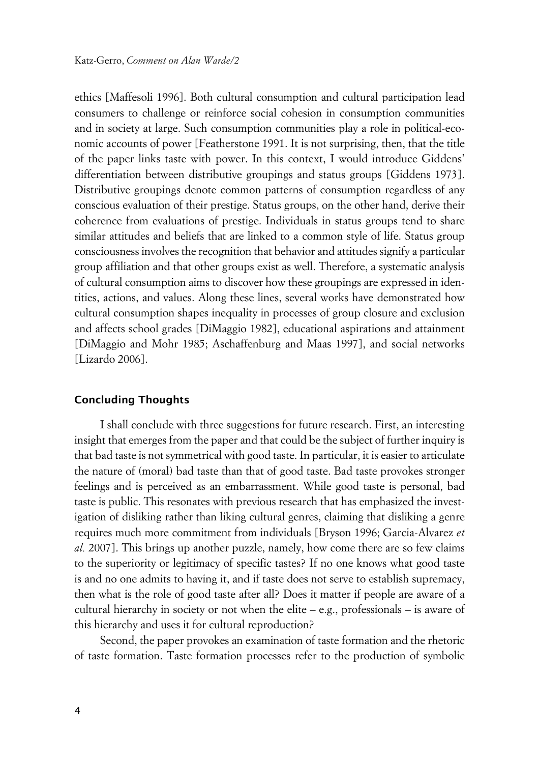ethics [Maffesoli 1996]. Both cultural consumption and cultural participation lead consumers to challenge or reinforce social cohesion in consumption communities and in society at large. Such consumption communities play a role in political-economic accounts of power [Featherstone 1991. It is not surprising, then, that the title of the paper links taste with power. In this context, I would introduce Giddens' differentiation between distributive groupings and status groups [Giddens 1973]. Distributive groupings denote common patterns of consumption regardless of any conscious evaluation of their prestige. Status groups, on the other hand, derive their coherence from evaluations of prestige. Individuals in status groups tend to share similar attitudes and beliefs that are linked to a common style of life. Status group consciousness involves the recognition that behavior and attitudes signify a particular group affiliation and that other groups exist as well. Therefore, a systematic analysis of cultural consumption aims to discover how these groupings are expressed in identities, actions, and values. Along these lines, several works have demonstrated how cultural consumption shapes inequality in processes of group closure and exclusion and affects school grades [DiMaggio 1982], educational aspirations and attainment [DiMaggio and Mohr 1985; Aschaffenburg and Maas 1997], and social networks [Lizardo 2006].

#### **xConcluding Thoughts**

I shall conclude with three suggestions for future research. First, an interesting insight that emerges from the paper and that could be the subject of further inquiry is that bad taste is not symmetrical with good taste. In particular, it is easier to articulate the nature of (moral) bad taste than that of good taste. Bad taste provokes stronger feelings and is perceived as an embarrassment. While good taste is personal, bad taste is public. This resonates with previous research that has emphasized the investigation of disliking rather than liking cultural genres, claiming that disliking a genre requires much more commitment from individuals [Bryson 1996; Garcia-Alvarez *et al.* 2007]. This brings up another puzzle, namely, how come there are so few claims to the superiority or legitimacy of specific tastes? If no one knows what good taste is and no one admits to having it, and if taste does not serve to establish supremacy, then what is the role of good taste after all? Does it matter if people are aware of a cultural hierarchy in society or not when the elite – e.g., professionals – is aware of this hierarchy and uses it for cultural reproduction?

Second, the paper provokes an examination of taste formation and the rhetoric of taste formation. Taste formation processes refer to the production of symbolic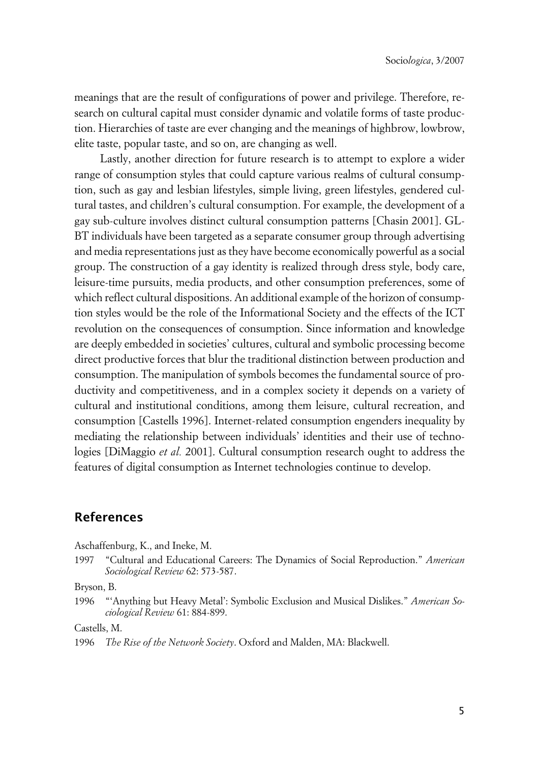meanings that are the result of configurations of power and privilege. Therefore, research on cultural capital must consider dynamic and volatile forms of taste production. Hierarchies of taste are ever changing and the meanings of highbrow, lowbrow, elite taste, popular taste, and so on, are changing as well.

Lastly, another direction for future research is to attempt to explore a wider range of consumption styles that could capture various realms of cultural consumption, such as gay and lesbian lifestyles, simple living, green lifestyles, gendered cultural tastes, and children's cultural consumption. For example, the development of a gay sub-culture involves distinct cultural consumption patterns [Chasin 2001]. GL-BT individuals have been targeted as a separate consumer group through advertising and media representations just as they have become economically powerful as a social group. The construction of a gay identity is realized through dress style, body care, leisure-time pursuits, media products, and other consumption preferences, some of which reflect cultural dispositions. An additional example of the horizon of consumption styles would be the role of the Informational Society and the effects of the ICT revolution on the consequences of consumption. Since information and knowledge are deeply embedded in societies' cultures, cultural and symbolic processing become direct productive forces that blur the traditional distinction between production and consumption. The manipulation of symbols becomes the fundamental source of productivity and competitiveness, and in a complex society it depends on a variety of cultural and institutional conditions, among them leisure, cultural recreation, and consumption [Castells 1996]. Internet-related consumption engenders inequality by mediating the relationship between individuals' identities and their use of technologies [DiMaggio *et al.* 2001]. Cultural consumption research ought to address the features of digital consumption as Internet technologies continue to develop.

### **References**

Aschaffenburg, K., and Ineke, M.

1997 "Cultural and Educational Careers: The Dynamics of Social Reproduction." *American Sociological Review* 62: 573-587.

Bryson, B.

1996 "'Anything but Heavy Metal': Symbolic Exclusion and Musical Dislikes." *American Sociological Review* 61: 884-899.

Castells, M.

1996 *The Rise of the Network Society*. Oxford and Malden, MA: Blackwell.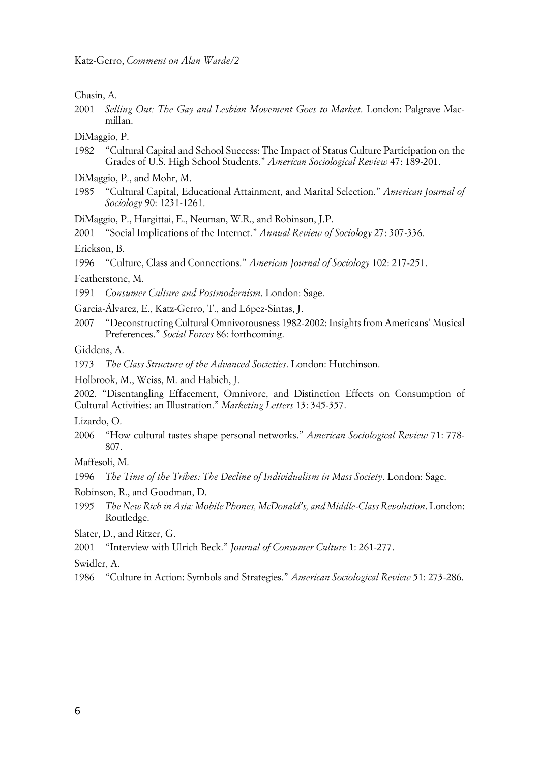Chasin, A.

2001 *Selling Out: The Gay and Lesbian Movement Goes to Market*. London: Palgrave Macmillan.

DiMaggio, P.

- 1982 "Cultural Capital and School Success: The Impact of Status Culture Participation on the Grades of U.S. High School Students." *American Sociological Review* 47: 189-201.
- DiMaggio, P., and Mohr, M.
- 1985 "Cultural Capital, Educational Attainment, and Marital Selection." *American Journal of Sociology* 90: 1231-1261.

DiMaggio, P., Hargittai, E., Neuman, W.R., and Robinson, J.P.

2001 "Social Implications of the Internet." *Annual Review of Sociology* 27: 307-336.

Erickson, B.

1996 "Culture, Class and Connections." *American Journal of Sociology* 102: 217-251.

Featherstone, M.

1991 *Consumer Culture and Postmodernism*. London: Sage.

Garcia-Álvarez, E., Katz-Gerro, T., and López-Sintas, J.

2007 "Deconstructing Cultural Omnivorousness 1982-2002: Insights from Americans' Musical Preferences." *Social Forces* 86: forthcoming.

Giddens, A.

1973 *The Class Structure of the Advanced Societies*. London: Hutchinson.

Holbrook, M., Weiss, M. and Habich, J.

2002. "Disentangling Effacement, Omnivore, and Distinction Effects on Consumption of Cultural Activities: an Illustration." *Marketing Letters* 13: 345-357.

Lizardo, O.

2006 "How cultural tastes shape personal networks." *American Sociological Review* 71: 778- 807.

Maffesoli, M.

1996 *The Time of the Tribes: The Decline of Individualism in Mass Society*. London: Sage.

- Robinson, R., and Goodman, D.
- 1995 *The New Rich in Asia: Mobile Phones, McDonald's, and Middle-Class Revolution*. London: Routledge.

Slater, D., and Ritzer, G.

2001 "Interview with Ulrich Beck." *Journal of Consumer Culture* 1: 261-277.

Swidler, A.

1986 "Culture in Action: Symbols and Strategies." *American Sociological Review* 51: 273-286.